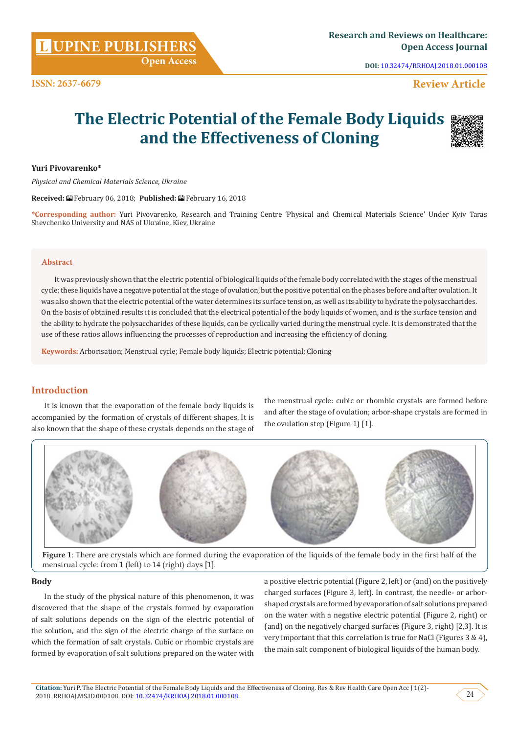**L**

**DOI:** [10.32474/RRHOAJ.2018.01.000108](http://dx.doi.org/10.32474/RRHOAJ.2018.01.000108)

# **Review Article**

# **The Electric Potential of the Female Body Liquids and the Effectiveness of Cloning**



#### **Yuri Pivovarenko\***

**ISSN: 2637-6679**

*Physical and Chemical Materials Science, Ukraine*

**Received:** February 06, 2018; **Published:** February 16, 2018

**\*Corresponding author:** Yuri Pivovarenko, Research and Training Centre 'Physical and Chemical Materials Science' Under Kyiv Taras Shevchenko University and NAS of Ukraine, Kiev, Ukraine

#### **Abstract**

It was previously shown that the electric potential of biological liquids of the female body correlated with the stages of the menstrual cycle: these liquids have a negative potential at the stage of ovulation, but the positive potential on the phases before and after ovulation. It was also shown that the electric potential of the water determines its surface tension, as well as its ability to hydrate the polysaccharides. On the basis of obtained results it is concluded that the electrical potential of the body liquids of women, and is the surface tension and the ability to hydrate the polysaccharides of these liquids, can be cyclically varied during the menstrual cycle. It is demonstrated that the use of these ratios allows influencing the processes of reproduction and increasing the efficiency of cloning.

**Keywords:** Arborisation; Menstrual cycle; Female body liquids; Electric potential; Cloning

# **Introduction**

It is known that the evaporation of the female body liquids is accompanied by the formation of crystals of different shapes. It is also known that the shape of these crystals depends on the stage of the menstrual cycle: cubic or rhombic crystals are formed before and after the stage of ovulation; arbor-shape crystals are formed in the ovulation step (Figure 1) [1].



**Figure 1**: There are crystals which are formed during the evaporation of the liquids of the female body in the first half of the menstrual cycle: from 1 (left) to 14 (right) days [1].

#### **Body**

In the study of the physical nature of this phenomenon, it was discovered that the shape of the crystals formed by evaporation of salt solutions depends on the sign of the electric potential of the solution, and the sign of the electric charge of the surface on which the formation of salt crystals. Cubic or rhombic crystals are formed by evaporation of salt solutions prepared on the water with

a positive electric potential (Figure 2, left) or (and) on the positively charged surfaces (Figure 3, left). In contrast, the needle- or arborshaped crystals are formed by evaporation of salt solutions prepared on the water with a negative electric potential (Figure 2, right) or (and) on the negatively charged surfaces (Figure 3, right) [2,3]. It is very important that this correlation is true for NaCl (Figures 3 & 4), the main salt component of biological liquids of the human body.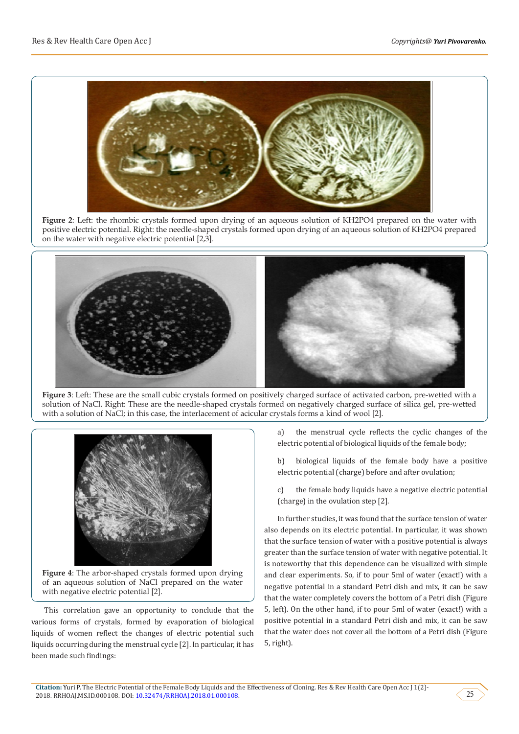

**Figure 2**: Left: the rhombic crystals formed upon drying of an aqueous solution of KH2PO4 prepared on the water with positive electric potential. Right: the needle-shaped crystals formed upon drying of an aqueous solution of KH2PO4 prepared on the water with negative electric potential [2,3].



**Figure 3**: Left: These are the small cubic crystals formed on positively charged surface of activated carbon, pre-wetted with a solution of NaCl. Right: These are the needle-shaped crystals formed on negatively charged surface of silica gel, pre-wetted with a solution of NaCl; in this case, the interlacement of acicular crystals forms a kind of wool [2].



**Figure 4**: The arbor-shaped crystals formed upon drying of an aqueous solution of NaCl prepared on the water with negative electric potential [2].

This correlation gave an opportunity to conclude that the various forms of crystals, formed by evaporation of biological liquids of women reflect the changes of electric potential such liquids occurring during the menstrual cycle [2]. In particular, it has been made such findings:

a) the menstrual cycle reflects the cyclic changes of the electric potential of biological liquids of the female body;

b) biological liquids of the female body have a positive electric potential (charge) before and after ovulation;

c) the female body liquids have a negative electric potential (charge) in the ovulation step [2].

In further studies, it was found that the surface tension of water also depends on its electric potential. In particular, it was shown that the surface tension of water with a positive potential is always greater than the surface tension of water with negative potential. It is noteworthy that this dependence can be visualized with simple and clear experiments. So, if to pour 5ml of water (exact!) with a negative potential in a standard Petri dish and mix, it can be saw that the water completely covers the bottom of a Petri dish (Figure 5, left). On the other hand, if to pour 5ml of water (exact!) with a positive potential in a standard Petri dish and mix, it can be saw that the water does not cover all the bottom of a Petri dish (Figure 5, right).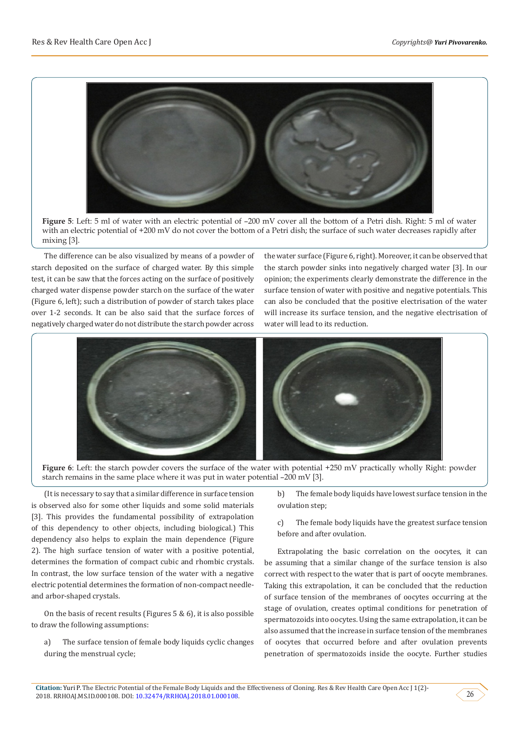

**Figure 5**: Left: 5 ml of water with an electric potential of –200 mV cover all the bottom of a Petri dish. Right: 5 ml of water with an electric potential of +200 mV do not cover the bottom of a Petri dish; the surface of such water decreases rapidly after mixing [3].

The difference can be also visualized by means of a powder of starch deposited on the surface of charged water. By this simple test, it can be saw that the forces acting on the surface of positively charged water dispense powder starch on the surface of the water (Figure 6, left); such a distribution of powder of starch takes place over 1-2 seconds. It can be also said that the surface forces of negatively charged water do not distribute the starch powder across

the water surface (Figure 6, right). Moreover, it can be observed that the starch powder sinks into negatively charged water [3]. In our opinion; the experiments clearly demonstrate the difference in the surface tension of water with positive and negative potentials. This can also be concluded that the positive electrisation of the water will increase its surface tension, and the negative electrisation of water will lead to its reduction.



**Figure 6**: Left: the starch powder covers the surface of the water with potential +250 mV practically wholly Right: powder starch remains in the same place where it was put in water potential –200 mV [3].

(It is necessary to say that a similar difference in surface tension is observed also for some other liquids and some solid materials [3]. This provides the fundamental possibility of extrapolation of this dependency to other objects, including biological.) This dependency also helps to explain the main dependence (Figure 2). The high surface tension of water with a positive potential, determines the formation of compact cubic and rhombic crystals. In contrast, the low surface tension of the water with a negative electric potential determines the formation of non-compact needleand arbor-shaped crystals.

On the basis of recent results (Figures 5 & 6), it is also possible to draw the following assumptions:

a) The surface tension of female body liquids cyclic changes during the menstrual cycle;

b) The female body liquids have lowest surface tension in the ovulation step;

c) The female body liquids have the greatest surface tension before and after ovulation.

Extrapolating the basic correlation on the oocytes, it can be assuming that a similar change of the surface tension is also correct with respect to the water that is part of oocyte membranes. Taking this extrapolation, it can be concluded that the reduction of surface tension of the membranes of oocytes occurring at the stage of ovulation, creates optimal conditions for penetration of spermatozoids into oocytes. Using the same extrapolation, it can be also assumed that the increase in surface tension of the membranes of oocytes that occurred before and after ovulation prevents penetration of spermatozoids inside the oocyte. Further studies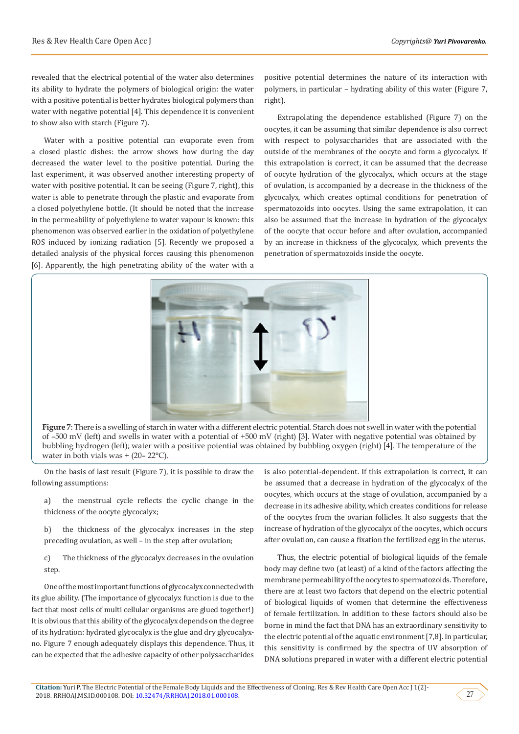revealed that the electrical potential of the water also determines its ability to hydrate the polymers of biological origin: the water with a positive potential is better hydrates biological polymers than water with negative potential [4]. This dependence it is convenient to show also with starch (Figure 7).

Water with a positive potential can evaporate even from a closed plastic dishes: the arrow shows how during the day decreased the water level to the positive potential. During the last experiment, it was observed another interesting property of water with positive potential. It can be seeing (Figure 7, right), this water is able to penetrate through the plastic and evaporate from a closed polyethylene bottle. (It should be noted that the increase in the permeability of polyethylene to water vapour is known: this phenomenon was observed earlier in the oxidation of polyethylene ROS induced by ionizing radiation [5]. Recently we proposed a detailed analysis of the physical forces causing this phenomenon [6]. Apparently, the high penetrating ability of the water with a

positive potential determines the nature of its interaction with polymers, in particular – hydrating ability of this water (Figure 7, right).

Extrapolating the dependence established (Figure 7) on the oocytes, it can be assuming that similar dependence is also correct with respect to polysaccharides that are associated with the outside of the membranes of the oocyte and form a glycocalyx. If this extrapolation is correct, it can be assumed that the decrease of oocyte hydration of the glycocalyx, which occurs at the stage of ovulation, is accompanied by a decrease in the thickness of the glycocalyx, which creates optimal conditions for penetration of spermatozoids into oocytes. Using the same extrapolation, it can also be assumed that the increase in hydration of the glycocalyx of the oocyte that occur before and after ovulation, accompanied by an increase in thickness of the glycocalyx, which prevents the penetration of spermatozoids inside the oocyte.



**Figure 7**: There is a swelling of starch in water with a different electric potential. Starch does not swell in water with the potential of –500 mV (left) and swells in water with a potential of +500 mV (right) [3]. Water with negative potential was obtained by bubbling hydrogen (left); water with a positive potential was obtained by bubbling oxygen (right) [4]. The temperature of the water in both vials was  $+$  (20–22 $^{\circ}$ C).

On the basis of last result (Figure 7), it is possible to draw the following assumptions:

a) the menstrual cycle reflects the cyclic change in the thickness of the oocyte glycocalyx;

b) the thickness of the glycocalyx increases in the step preceding ovulation, as well – in the step after ovulation;

c) The thickness of the glycocalyx decreases in the ovulation step.

One of the most important functions of glycocalyx connected with its glue ability. (The importance of glycocalyx function is due to the fact that most cells of multi cellular organisms are glued together!) It is obvious that this ability of the glycocalyx depends on the degree of its hydration: hydrated glycocalyx is the glue and dry glycocalyxno. Figure 7 enough adequately displays this dependence. Thus, it can be expected that the adhesive capacity of other polysaccharides

is also potential-dependent. If this extrapolation is correct, it can be assumed that a decrease in hydration of the glycocalyx of the oocytes, which occurs at the stage of ovulation, accompanied by a decrease in its adhesive ability, which creates conditions for release of the oocytes from the ovarian follicles. It also suggests that the increase of hydration of the glycocalyx of the oocytes, which occurs after ovulation, can cause a fixation the fertilized egg in the uterus.

Thus, the electric potential of biological liquids of the female body may define two (at least) of a kind of the factors affecting the membrane permeability of the oocytes to spermatozoids. Therefore, there are at least two factors that depend on the electric potential of biological liquids of women that determine the effectiveness of female fertilization. In addition to these factors should also be borne in mind the fact that DNA has an extraordinary sensitivity to the electric potential of the aquatic environment [7,8]. In particular, this sensitivity is confirmed by the spectra of UV absorption of DNA solutions prepared in water with a different electric potential